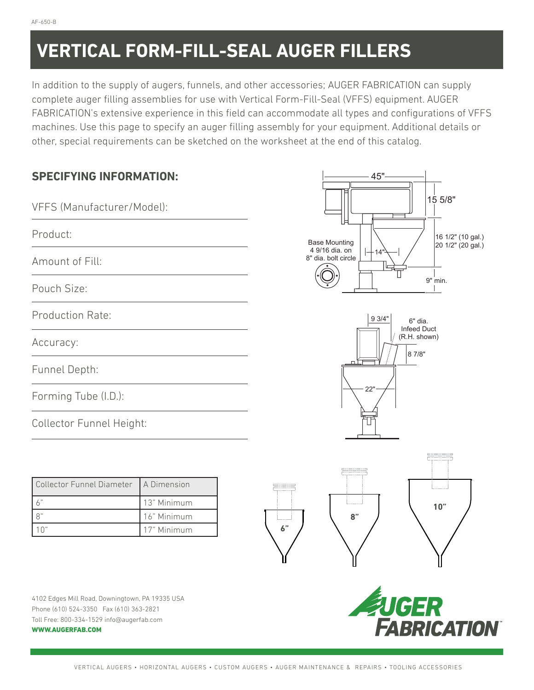# **VERTICAL FORM-FILL-SEAL AUGER FILLERS**

In addition to the supply of augers, funnels, and other accessories; AUGER FABRICATION can supply complete auger filling assemblies for use with Vertical Form-Fill-Seal (VFFS) equipment. AUGER FABRICATION's extensive experience in this field can accommodate all types and configurations of VFFS machines. Use this page to specify an auger filling assembly for your equipment. Additional details or other, special requirements can be sketched on the worksheet at the end of this catalog.

| <b>SPECIFYING INFORMATION:</b><br>VFFS (Manufacturer/Model):<br>Product:<br>Amount of Fill: |                            | 45"<br>15 5/8"<br>16 1/2" (10 gal.)<br><b>Base Mounting</b><br>20 1/2" (20 gal.)<br>4 9/16 dia. on<br>14<br>8" dia. bolt circle<br>9" min. |                         |  |                                        |
|---------------------------------------------------------------------------------------------|----------------------------|--------------------------------------------------------------------------------------------------------------------------------------------|-------------------------|--|----------------------------------------|
|                                                                                             |                            |                                                                                                                                            | Pouch Size:             |  |                                        |
|                                                                                             |                            |                                                                                                                                            | <b>Production Rate:</b> |  | 93/4"<br>6" dia.<br><b>Infeed Duct</b> |
|                                                                                             |                            |                                                                                                                                            | Accuracy:               |  | (R.H. shown)<br>8 7/8"                 |
| Funnel Depth:                                                                               |                            |                                                                                                                                            | п.<br>22"               |  |                                        |
| Forming Tube (I.D.):                                                                        |                            |                                                                                                                                            |                         |  |                                        |
| Collector Funnel Height:                                                                    |                            |                                                                                                                                            |                         |  |                                        |
|                                                                                             |                            |                                                                                                                                            |                         |  |                                        |
| Collector Funnel Diameter                                                                   | A Dimension                | æ                                                                                                                                          |                         |  |                                        |
| $6"$                                                                                        | 13" Minimum<br>16" Minimum | 10"                                                                                                                                        |                         |  |                                        |
| $8$ "<br>10"                                                                                | 17" Minimum                | 8"<br>6"                                                                                                                                   |                         |  |                                        |
|                                                                                             |                            |                                                                                                                                            |                         |  |                                        |
|                                                                                             |                            | ш<br>Ш                                                                                                                                     |                         |  |                                        |
| 4102 Edges Mill Road, Downingtown, PA 19335 USA<br>Phone (610) 524-3350 Fax (610) 363-2821  |                            |                                                                                                                                            |                         |  |                                        |
| Toll Free: 800-334-1529 info@augerfab.com<br><b>WWW.AUGERFAB.COM</b>                        |                            | <b>EUGER<br/>FABRICATION</b>                                                                                                               |                         |  |                                        |